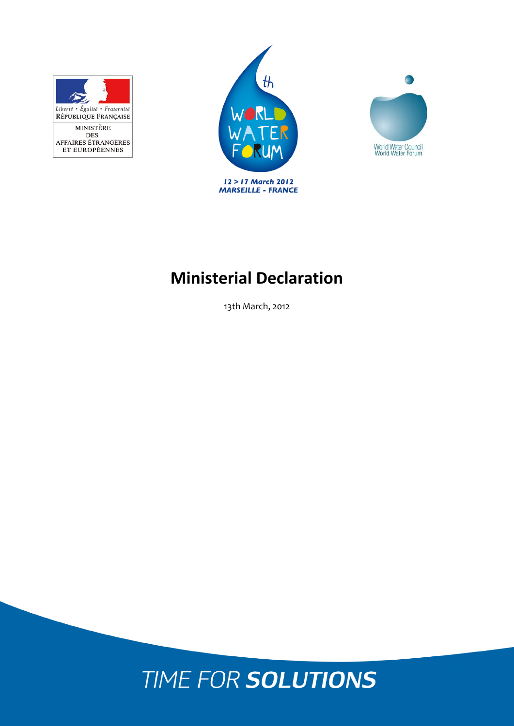





# **Ministerial Declaration**

13th March, 2012

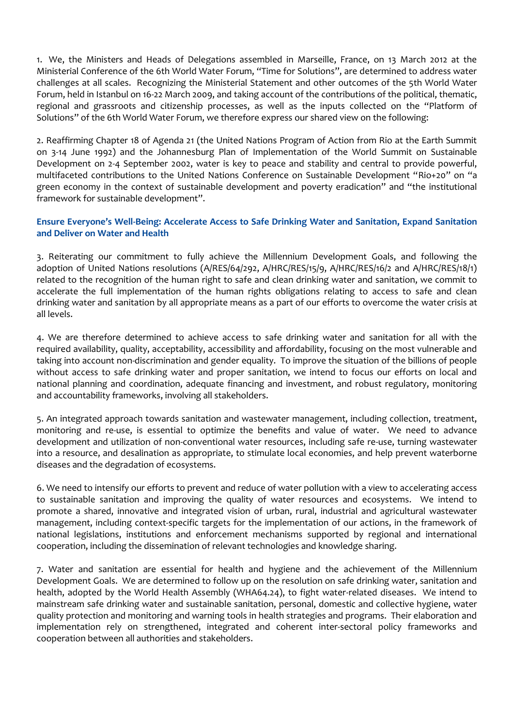1. We, the Ministers and Heads of Delegations assembled in Marseille, France, on 13 March 2012 at the Ministerial Conference of the 6th World Water Forum, "Time for Solutions", are determined to address water challenges at all scales. Recognizing the Ministerial Statement and other outcomes of the 5th World Water Forum, held in Istanbul on 16-22 March 2009, and taking account of the contributions of the political, thematic, regional and grassroots and citizenship processes, as well as the inputs collected on the "Platform of Solutions" of the 6th World Water Forum, we therefore express our shared view on the following:

2. Reaffirming Chapter 18 of Agenda 21 (the United Nations Program of Action from Rio at the Earth Summit on 3-14 June 1992) and the Johannesburg Plan of Implementation of the World Summit on Sustainable Development on 2-4 September 2002, water is key to peace and stability and central to provide powerful, multifaceted contributions to the United Nations Conference on Sustainable Development "Rio+20" on "a green economy in the context of sustainable development and poverty eradication" and "the institutional framework for sustainable development".

### **Ensure Everyone's Well-Being: Accelerate Access to Safe Drinking Water and Sanitation, Expand Sanitation and Deliver on Water and Health**

3. Reiterating our commitment to fully achieve the Millennium Development Goals, and following the adoption of United Nations resolutions (A/RES/64/292, A/HRC/RES/15/9, A/HRC/RES/16/2 and A/HRC/RES/18/1) related to the recognition of the human right to safe and clean drinking water and sanitation, we commit to accelerate the full implementation of the human rights obligations relating to access to safe and clean drinking water and sanitation by all appropriate means as a part of our efforts to overcome the water crisis at all levels.

4. We are therefore determined to achieve access to safe drinking water and sanitation for all with the required availability, quality, acceptability, accessibility and affordability, focusing on the most vulnerable and taking into account non-discrimination and gender equality. To improve the situation of the billions of people without access to safe drinking water and proper sanitation, we intend to focus our efforts on local and national planning and coordination, adequate financing and investment, and robust regulatory, monitoring and accountability frameworks, involving all stakeholders.

5. An integrated approach towards sanitation and wastewater management, including collection, treatment, monitoring and re-use, is essential to optimize the benefits and value of water. We need to advance development and utilization of non-conventional water resources, including safe re-use, turning wastewater into a resource, and desalination as appropriate, to stimulate local economies, and help prevent waterborne diseases and the degradation of ecosystems.

6. We need to intensify our efforts to prevent and reduce of water pollution with a view to accelerating access to sustainable sanitation and improving the quality of water resources and ecosystems. We intend to promote a shared, innovative and integrated vision of urban, rural, industrial and agricultural wastewater management, including context-specific targets for the implementation of our actions, in the framework of national legislations, institutions and enforcement mechanisms supported by regional and international cooperation, including the dissemination of relevant technologies and knowledge sharing.

7. Water and sanitation are essential for health and hygiene and the achievement of the Millennium Development Goals. We are determined to follow up on the resolution on safe drinking water, sanitation and health, adopted by the World Health Assembly (WHA64.24), to fight water-related diseases. We intend to mainstream safe drinking water and sustainable sanitation, personal, domestic and collective hygiene, water quality protection and monitoring and warning tools in health strategies and programs. Their elaboration and implementation rely on strengthened, integrated and coherent inter-sectoral policy frameworks and cooperation between all authorities and stakeholders.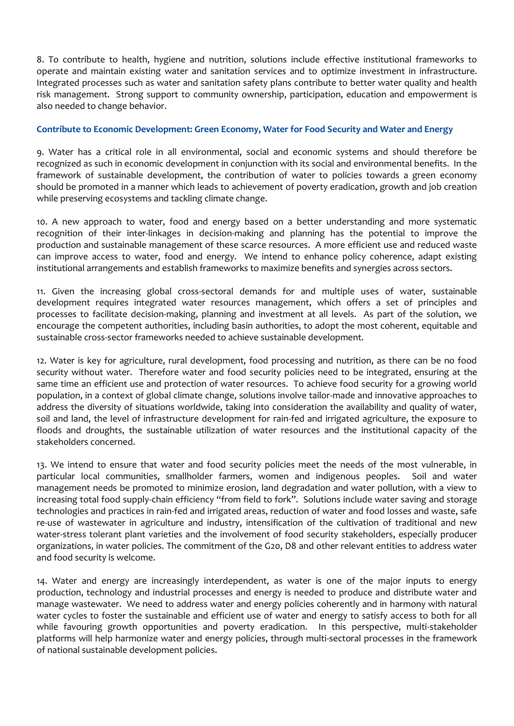8. To contribute to health, hygiene and nutrition, solutions include effective institutional frameworks to operate and maintain existing water and sanitation services and to optimize investment in infrastructure. Integrated processes such as water and sanitation safety plans contribute to better water quality and health risk management. Strong support to community ownership, participation, education and empowerment is also needed to change behavior.

#### **Contribute to Economic Development: Green Economy, Water for Food Security and Water and Energy**

9. Water has a critical role in all environmental, social and economic systems and should therefore be recognized as such in economic development in conjunction with its social and environmental benefits. In the framework of sustainable development, the contribution of water to policies towards a green economy should be promoted in a manner which leads to achievement of poverty eradication, growth and job creation while preserving ecosystems and tackling climate change.

10. A new approach to water, food and energy based on a better understanding and more systematic recognition of their inter-linkages in decision-making and planning has the potential to improve the production and sustainable management of these scarce resources. A more efficient use and reduced waste can improve access to water, food and energy. We intend to enhance policy coherence, adapt existing institutional arrangements and establish frameworks to maximize benefits and synergies across sectors.

11. Given the increasing global cross-sectoral demands for and multiple uses of water, sustainable development requires integrated water resources management, which offers a set of principles and processes to facilitate decision-making, planning and investment at all levels. As part of the solution, we encourage the competent authorities, including basin authorities, to adopt the most coherent, equitable and sustainable cross-sector frameworks needed to achieve sustainable development.

12. Water is key for agriculture, rural development, food processing and nutrition, as there can be no food security without water. Therefore water and food security policies need to be integrated, ensuring at the same time an efficient use and protection of water resources. To achieve food security for a growing world population, in a context of global climate change, solutions involve tailor-made and innovative approaches to address the diversity of situations worldwide, taking into consideration the availability and quality of water, soil and land, the level of infrastructure development for rain-fed and irrigated agriculture, the exposure to floods and droughts, the sustainable utilization of water resources and the institutional capacity of the stakeholders concerned.

13. We intend to ensure that water and food security policies meet the needs of the most vulnerable, in particular local communities, smallholder farmers, women and indigenous peoples. Soil and water management needs be promoted to minimize erosion, land degradation and water pollution, with a view to increasing total food supply-chain efficiency "from field to fork". Solutions include water saving and storage technologies and practices in rain-fed and irrigated areas, reduction of water and food losses and waste, safe re-use of wastewater in agriculture and industry, intensification of the cultivation of traditional and new water-stress tolerant plant varieties and the involvement of food security stakeholders, especially producer organizations, in water policies. The commitment of the G20, D8 and other relevant entities to address water and food security is welcome.

14. Water and energy are increasingly interdependent, as water is one of the major inputs to energy production, technology and industrial processes and energy is needed to produce and distribute water and manage wastewater. We need to address water and energy policies coherently and in harmony with natural water cycles to foster the sustainable and efficient use of water and energy to satisfy access to both for all while favouring growth opportunities and poverty eradication. In this perspective, multi-stakeholder platforms will help harmonize water and energy policies, through multi-sectoral processes in the framework of national sustainable development policies.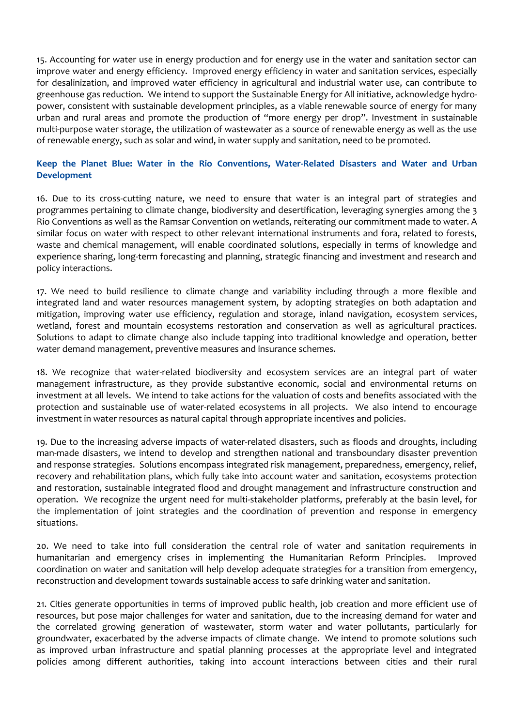15. Accounting for water use in energy production and for energy use in the water and sanitation sector can improve water and energy efficiency. Improved energy efficiency in water and sanitation services, especially for desalinization, and improved water efficiency in agricultural and industrial water use, can contribute to greenhouse gas reduction. We intend to support the Sustainable Energy for All initiative, acknowledge hydropower, consistent with sustainable development principles, as a viable renewable source of energy for many urban and rural areas and promote the production of "more energy per drop". Investment in sustainable multi-purpose water storage, the utilization of wastewater as a source of renewable energy as well as the use of renewable energy, such as solar and wind, in water supply and sanitation, need to be promoted.

## **Keep the Planet Blue: Water in the Rio Conventions, Water-Related Disasters and Water and Urban Development**

16. Due to its cross-cutting nature, we need to ensure that water is an integral part of strategies and programmes pertaining to climate change, biodiversity and desertification, leveraging synergies among the 3 Rio Conventions as well as the Ramsar Convention on wetlands, reiterating our commitment made to water. A similar focus on water with respect to other relevant international instruments and fora, related to forests, waste and chemical management, will enable coordinated solutions, especially in terms of knowledge and experience sharing, long-term forecasting and planning, strategic financing and investment and research and policy interactions.

17. We need to build resilience to climate change and variability including through a more flexible and integrated land and water resources management system, by adopting strategies on both adaptation and mitigation, improving water use efficiency, regulation and storage, inland navigation, ecosystem services, wetland, forest and mountain ecosystems restoration and conservation as well as agricultural practices. Solutions to adapt to climate change also include tapping into traditional knowledge and operation, better water demand management, preventive measures and insurance schemes.

18. We recognize that water-related biodiversity and ecosystem services are an integral part of water management infrastructure, as they provide substantive economic, social and environmental returns on investment at all levels. We intend to take actions for the valuation of costs and benefits associated with the protection and sustainable use of water-related ecosystems in all projects. We also intend to encourage investment in water resources as natural capital through appropriate incentives and policies.

19. Due to the increasing adverse impacts of water-related disasters, such as floods and droughts, including man-made disasters, we intend to develop and strengthen national and transboundary disaster prevention and response strategies. Solutions encompass integrated risk management, preparedness, emergency, relief, recovery and rehabilitation plans, which fully take into account water and sanitation, ecosystems protection and restoration, sustainable integrated flood and drought management and infrastructure construction and operation. We recognize the urgent need for multi-stakeholder platforms, preferably at the basin level, for the implementation of joint strategies and the coordination of prevention and response in emergency situations.

20. We need to take into full consideration the central role of water and sanitation requirements in humanitarian and emergency crises in implementing the Humanitarian Reform Principles. Improved coordination on water and sanitation will help develop adequate strategies for a transition from emergency, reconstruction and development towards sustainable access to safe drinking water and sanitation.

21. Cities generate opportunities in terms of improved public health, job creation and more efficient use of resources, but pose major challenges for water and sanitation, due to the increasing demand for water and the correlated growing generation of wastewater, storm water and water pollutants, particularly for groundwater, exacerbated by the adverse impacts of climate change. We intend to promote solutions such as improved urban infrastructure and spatial planning processes at the appropriate level and integrated policies among different authorities, taking into account interactions between cities and their rural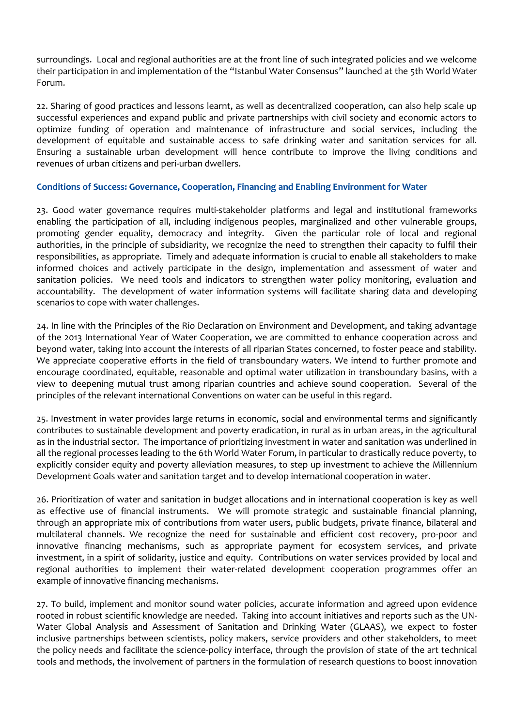surroundings. Local and regional authorities are at the front line of such integrated policies and we welcome their participation in and implementation of the "Istanbul Water Consensus" launched at the 5th World Water Forum.

22. Sharing of good practices and lessons learnt, as well as decentralized cooperation, can also help scale up successful experiences and expand public and private partnerships with civil society and economic actors to optimize funding of operation and maintenance of infrastructure and social services, including the development of equitable and sustainable access to safe drinking water and sanitation services for all. Ensuring a sustainable urban development will hence contribute to improve the living conditions and revenues of urban citizens and peri-urban dwellers.

#### **Conditions of Success: Governance, Cooperation, Financing and Enabling Environment for Water**

23. Good water governance requires multi-stakeholder platforms and legal and institutional frameworks enabling the participation of all, including indigenous peoples, marginalized and other vulnerable groups, promoting gender equality, democracy and integrity. Given the particular role of local and regional authorities, in the principle of subsidiarity, we recognize the need to strengthen their capacity to fulfil their responsibilities, as appropriate. Timely and adequate information is crucial to enable all stakeholders to make informed choices and actively participate in the design, implementation and assessment of water and sanitation policies. We need tools and indicators to strengthen water policy monitoring, evaluation and accountability. The development of water information systems will facilitate sharing data and developing scenarios to cope with water challenges.

24. In line with the Principles of the Rio Declaration on Environment and Development, and taking advantage of the 2013 International Year of Water Cooperation, we are committed to enhance cooperation across and beyond water, taking into account the interests of all riparian States concerned, to foster peace and stability. We appreciate cooperative efforts in the field of transboundary waters. We intend to further promote and encourage coordinated, equitable, reasonable and optimal water utilization in transboundary basins, with a view to deepening mutual trust among riparian countries and achieve sound cooperation. Several of the principles of the relevant international Conventions on water can be useful in this regard.

25. Investment in water provides large returns in economic, social and environmental terms and significantly contributes to sustainable development and poverty eradication, in rural as in urban areas, in the agricultural as in the industrial sector. The importance of prioritizing investment in water and sanitation was underlined in all the regional processes leading to the 6th World Water Forum, in particular to drastically reduce poverty, to explicitly consider equity and poverty alleviation measures, to step up investment to achieve the Millennium Development Goals water and sanitation target and to develop international cooperation in water.

26. Prioritization of water and sanitation in budget allocations and in international cooperation is key as well as effective use of financial instruments. We will promote strategic and sustainable financial planning, through an appropriate mix of contributions from water users, public budgets, private finance, bilateral and multilateral channels. We recognize the need for sustainable and efficient cost recovery, pro-poor and innovative financing mechanisms, such as appropriate payment for ecosystem services, and private investment, in a spirit of solidarity, justice and equity. Contributions on water services provided by local and regional authorities to implement their water-related development cooperation programmes offer an example of innovative financing mechanisms.

27. To build, implement and monitor sound water policies, accurate information and agreed upon evidence rooted in robust scientific knowledge are needed. Taking into account initiatives and reports such as the UN-Water Global Analysis and Assessment of Sanitation and Drinking Water (GLAAS), we expect to foster inclusive partnerships between scientists, policy makers, service providers and other stakeholders, to meet the policy needs and facilitate the science-policy interface, through the provision of state of the art technical tools and methods, the involvement of partners in the formulation of research questions to boost innovation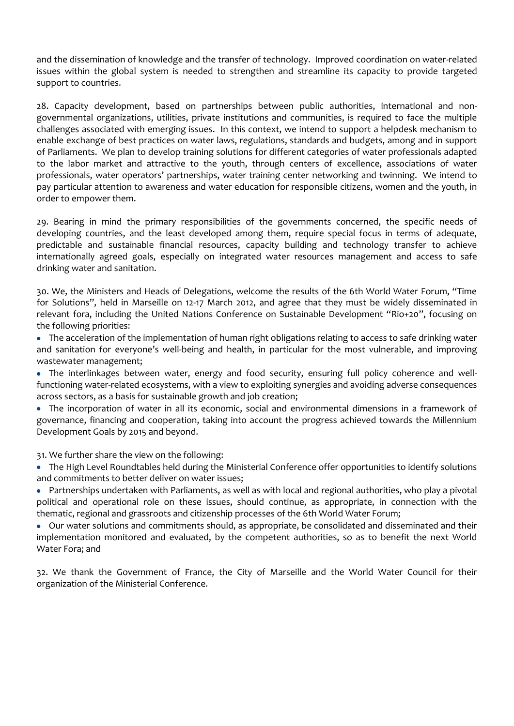and the dissemination of knowledge and the transfer of technology. Improved coordination on water-related issues within the global system is needed to strengthen and streamline its capacity to provide targeted support to countries.

28. Capacity development, based on partnerships between public authorities, international and nongovernmental organizations, utilities, private institutions and communities, is required to face the multiple challenges associated with emerging issues. In this context, we intend to support a helpdesk mechanism to enable exchange of best practices on water laws, regulations, standards and budgets, among and in support of Parliaments. We plan to develop training solutions for different categories of water professionals adapted to the labor market and attractive to the youth, through centers of excellence, associations of water professionals, water operators' partnerships, water training center networking and twinning. We intend to pay particular attention to awareness and water education for responsible citizens, women and the youth, in order to empower them.

29. Bearing in mind the primary responsibilities of the governments concerned, the specific needs of developing countries, and the least developed among them, require special focus in terms of adequate, predictable and sustainable financial resources, capacity building and technology transfer to achieve internationally agreed goals, especially on integrated water resources management and access to safe drinking water and sanitation.

30. We, the Ministers and Heads of Delegations, welcome the results of the 6th World Water Forum, "Time for Solutions", held in Marseille on 12-17 March 2012, and agree that they must be widely disseminated in relevant fora, including the United Nations Conference on Sustainable Development "Rio+20", focusing on the following priorities:

The acceleration of the implementation of human right obligations relating to access to safe drinking water and sanitation for everyone's well-being and health, in particular for the most vulnerable, and improving wastewater management;

The interlinkages between water, energy and food security, ensuring full policy coherence and wellfunctioning water-related ecosystems, with a view to exploiting synergies and avoiding adverse consequences across sectors, as a basis for sustainable growth and job creation;

The incorporation of water in all its economic, social and environmental dimensions in a framework of governance, financing and cooperation, taking into account the progress achieved towards the Millennium Development Goals by 2015 and beyond.

31. We further share the view on the following:

The High Level Roundtables held during the Ministerial Conference offer opportunities to identify solutions and commitments to better deliver on water issues;

Partnerships undertaken with Parliaments, as well as with local and regional authorities, who play a pivotal political and operational role on these issues, should continue, as appropriate, in connection with the thematic, regional and grassroots and citizenship processes of the 6th World Water Forum;

Our water solutions and commitments should, as appropriate, be consolidated and disseminated and their implementation monitored and evaluated, by the competent authorities, so as to benefit the next World Water Fora; and

32. We thank the Government of France, the City of Marseille and the World Water Council for their organization of the Ministerial Conference.